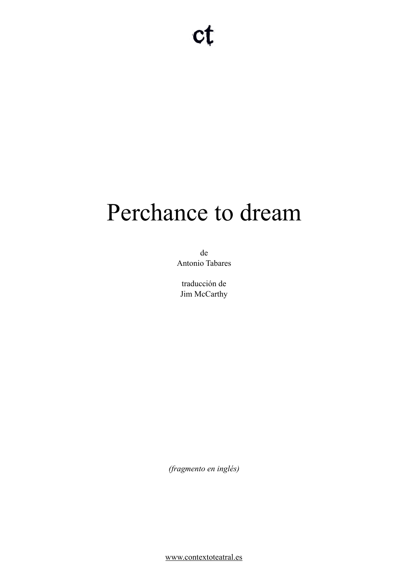# Perchance to dream

de Antonio Tabares

traducción de Jim McCarthy

*(fragmento en inglés)* 

[www.contextoteatral.es](http://www.contextoteatral.es)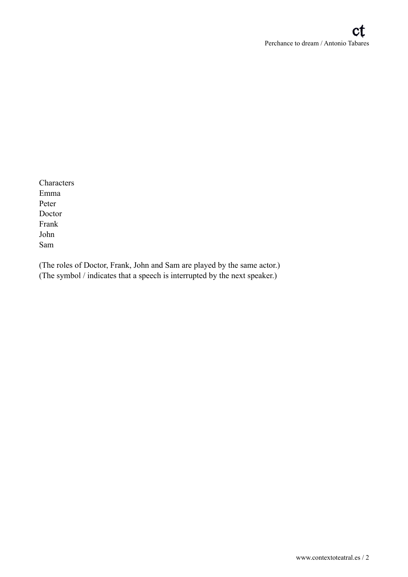Characters Emma Peter Doctor Frank John Sam

(The roles of Doctor, Frank, John and Sam are played by the same actor.) (The symbol / indicates that a speech is interrupted by the next speaker.)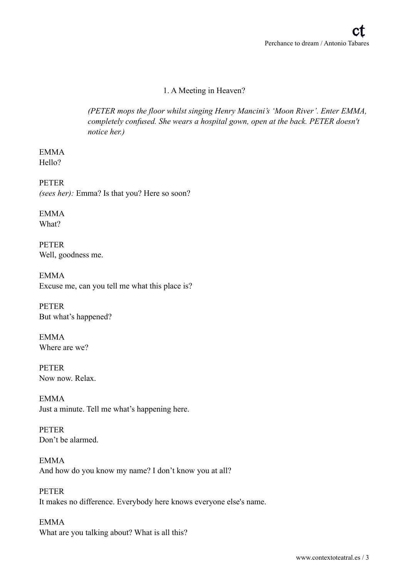# 1. A Meeting in Heaven?

*(PETER mops the floor whilst singing Henry Mancini's 'Moon River'. Enter EMMA, completely confused. She wears a hospital gown, open at the back. PETER doesn't notice her.)* 

EMMA Hello?

PETER *(sees her):* Emma? Is that you? Here so soon?

EMMA What?

PETER Well, goodness me.

EMMA Excuse me, can you tell me what this place is?

PETER But what's happened?

EMMA Where are we?

PETER Now now. Relax.

EMMA Just a minute. Tell me what's happening here.

PETER Don't be alarmed.

EMMA And how do you know my name? I don't know you at all?

PETER It makes no difference. Everybody here knows everyone else's name.

EMMA What are you talking about? What is all this?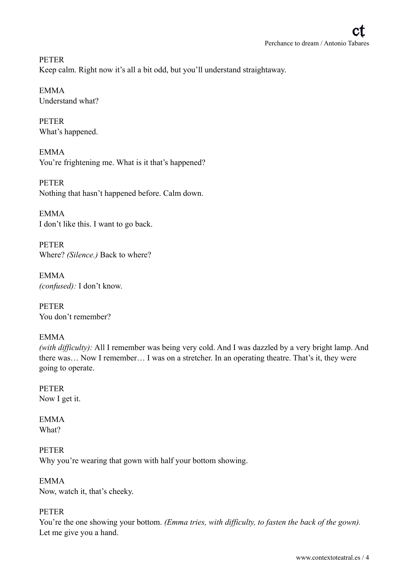PETER Keep calm. Right now it's all a bit odd, but you'll understand straightaway.

EMMA Understand what?

PETER What's happened.

EMMA You're frightening me. What is it that's happened?

PETER Nothing that hasn't happened before. Calm down.

EMMA I don't like this. I want to go back.

PETER Where? *(Silence.)* Back to where?

EMMA *(confused):* I don't know.

PETER You don't remember?

EMMA

*(with difficulty):* All I remember was being very cold. And I was dazzled by a very bright lamp. And there was… Now I remember… I was on a stretcher. In an operating theatre. That's it, they were going to operate.

PETER Now I get it.

EMMA What?

PETER Why you're wearing that gown with half your bottom showing.

EMMA Now, watch it, that's cheeky.

## PETER

You're the one showing your bottom. *(Emma tries, with difficulty, to fasten the back of the gown)*. Let me give you a hand.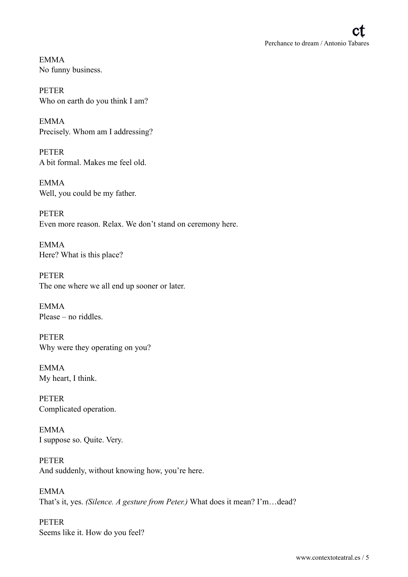EMMA No funny business.

PETER Who on earth do you think I am?

EMMA Precisely. Whom am I addressing?

PETER A bit formal. Makes me feel old.

EMMA Well, you could be my father.

PETER Even more reason. Relax. We don't stand on ceremony here.

EMMA Here? What is this place?

PETER The one where we all end up sooner or later.

EMMA Please – no riddles.

PETER Why were they operating on you?

EMMA My heart, I think.

PETER Complicated operation.

EMMA I suppose so. Quite. Very.

PETER And suddenly, without knowing how, you're here.

EMMA That's it, yes. *(Silence. A gesture from Peter.)* What does it mean? I'm…dead?

PETER Seems like it. How do you feel?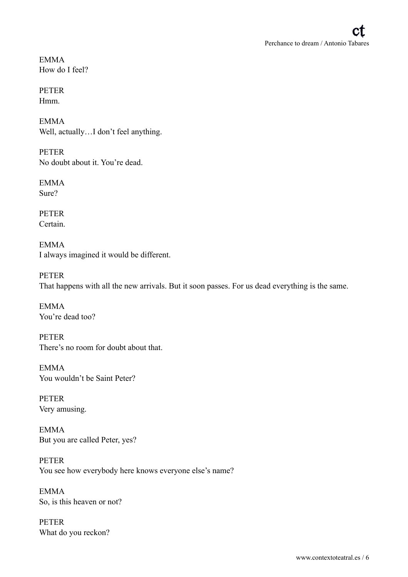EMMA How do I feel?

PETER Hmm.

EMMA Well, actually...I don't feel anything.

PETER No doubt about it. You're dead.

**EMMA** Sure?

PETER **Certain** 

EMMA I always imagined it would be different.

PETER That happens with all the new arrivals. But it soon passes. For us dead everything is the same.

EMMA You're dead too?

PETER There's no room for doubt about that.

EMMA You wouldn't be Saint Peter?

PETER Very amusing.

EMMA But you are called Peter, yes?

PETER You see how everybody here knows everyone else's name?

EMMA So, is this heaven or not?

PETER What do you reckon?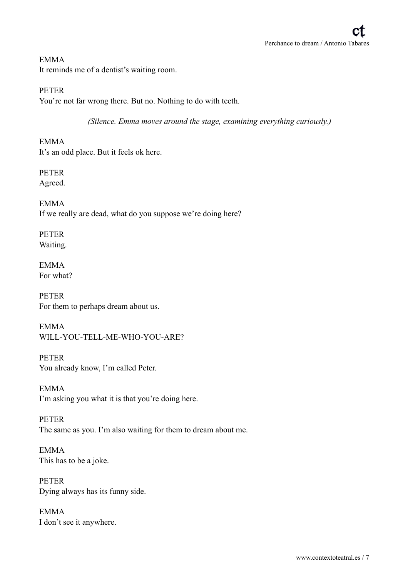## EMMA

It reminds me of a dentist's waiting room.

PETER

You're not far wrong there. But no. Nothing to do with teeth.

*(Silence. Emma moves around the stage, examining everything curiously.)* 

EMMA It's an odd place. But it feels ok here.

PETER Agreed.

EMMA If we really are dead, what do you suppose we're doing here?

PETER Waiting.

EMMA For what?

PETER For them to perhaps dream about us.

EMMA WILL-YOU-TELL-ME-WHO-YOU-ARE?

PETER You already know, I'm called Peter.

EMMA I'm asking you what it is that you're doing here.

PETER The same as you. I'm also waiting for them to dream about me.

EMMA This has to be a joke.

PETER Dying always has its funny side.

EMMA I don't see it anywhere.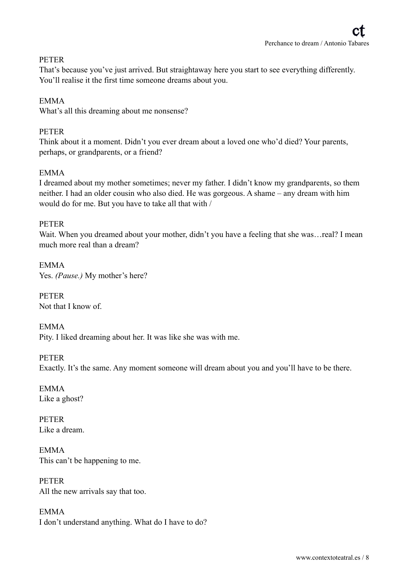#### PETER

That's because you've just arrived. But straightaway here you start to see everything differently. You'll realise it the first time someone dreams about you.

#### EMMA

What's all this dreaming about me nonsense?

#### PETER

Think about it a moment. Didn't you ever dream about a loved one who'd died? Your parents, perhaps, or grandparents, or a friend?

#### EMMA

I dreamed about my mother sometimes; never my father. I didn't know my grandparents, so them neither. I had an older cousin who also died. He was gorgeous. A shame – any dream with him would do for me. But you have to take all that with /

#### PETER

Wait. When you dreamed about your mother, didn't you have a feeling that she was...real? I mean much more real than a dream?

EMMA Yes. *(Pause.)* My mother's here?

PETER Not that I know of.

EMMA Pity. I liked dreaming about her. It was like she was with me.

PETER Exactly. It's the same. Any moment someone will dream about you and you'll have to be there.

EMMA Like a ghost?

PETER Like a dream.

EMMA This can't be happening to me.

PETER All the new arrivals say that too.

EMMA I don't understand anything. What do I have to do?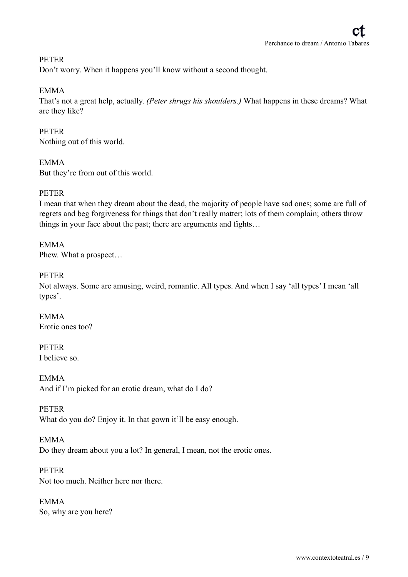#### PETER

Don't worry. When it happens you'll know without a second thought.

#### EMMA

That's not a great help, actually. *(Peter shrugs his shoulders.)* What happens in these dreams? What are they like?

#### PETER Nothing out of this world.

EMMA But they're from out of this world.

#### **PETER**

I mean that when they dream about the dead, the majority of people have sad ones; some are full of regrets and beg forgiveness for things that don't really matter; lots of them complain; others throw things in your face about the past; there are arguments and fights…

EMMA Phew. What a prospect…

#### PETER

Not always. Some are amusing, weird, romantic. All types. And when I say 'all types' I mean 'all types'.

EMMA Erotic ones too?

PETER I believe so.

EMMA And if I'm picked for an erotic dream, what do I do?

PETER What do you do? Enjoy it. In that gown it'll be easy enough.

EMMA Do they dream about you a lot? In general, I mean, not the erotic ones.

PETER Not too much. Neither here nor there.

EMMA So, why are you here?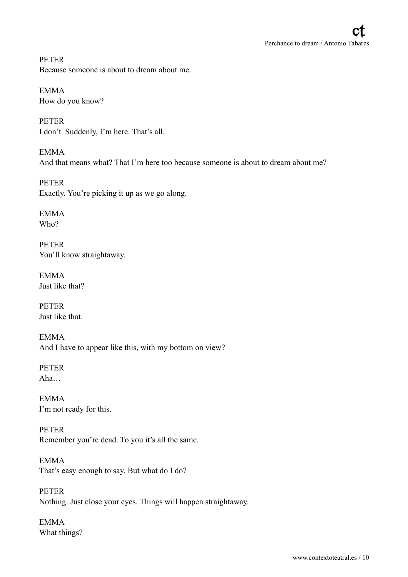PETER Because someone is about to dream about me.

EMMA How do you know?

PETER I don't. Suddenly, I'm here. That's all.

EMMA And that means what? That I'm here too because someone is about to dream about me?

PETER Exactly. You're picking it up as we go along.

EMMA Who?

PETER You'll know straightaway.

EMMA Just like that?

PETER Just like that.

EMMA And I have to appear like this, with my bottom on view?

PETER Aha…

EMMA I'm not ready for this.

PETER Remember you're dead. To you it's all the same.

EMMA That's easy enough to say. But what do I do?

PETER Nothing. Just close your eyes. Things will happen straightaway.

EMMA What things?